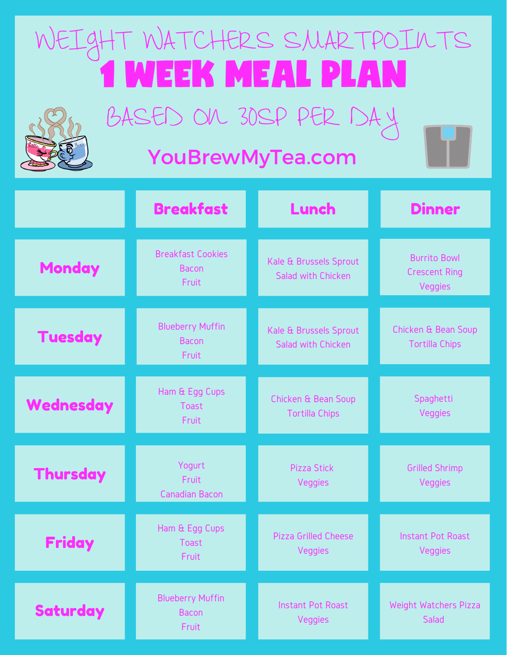## WEIGHT WATCHERS SMARTPOINTS 1 WEEK MEAL PLAN



BASED ON 30SP PER DAY

## YouBrewMyTea.com

|                 | <b>Breakfast</b>                                  | Lunch                                        | <b>Dinner</b>                                                 |
|-----------------|---------------------------------------------------|----------------------------------------------|---------------------------------------------------------------|
| <b>Monday</b>   | <b>Breakfast Cookies</b><br><b>Bacon</b><br>Fruit | Kale & Brussels Sprout<br>Salad with Chicken | <b>Burrito Bowl</b><br><b>Crescent Ring</b><br><b>Veggies</b> |
| <b>Tuesday</b>  | <b>Blueberry Muffin</b><br><b>Bacon</b><br>Fruit  | Kale & Brussels Sprout<br>Salad with Chicken | Chicken & Bean Soup<br><b>Tortilla Chips</b>                  |
| Wednesday       | Ham & Egg Cups<br>Toast<br>Fruit                  | Chicken & Bean Soup<br><b>Tortilla Chips</b> | Spaghetti<br>Veggies                                          |
| <b>Thursday</b> | Yogurt<br>Fruit<br><b>Canadian Bacon</b>          | <b>Pizza Stick</b><br>Veggies                | <b>Grilled Shrimp</b><br>Veggies                              |
| <b>Friday</b>   | Ham & Egg Cups<br>Toast<br>Fruit                  | <b>Pizza Grilled Cheese</b><br>Veggies       | <b>Instant Pot Roast</b><br>Veggies                           |
| <b>Saturday</b> | <b>Blueberry Muffin</b><br><b>Bacon</b><br>Fruit  | <b>Instant Pot Roast</b><br>Veggies          | Weight Watchers Pizza<br>Salad                                |